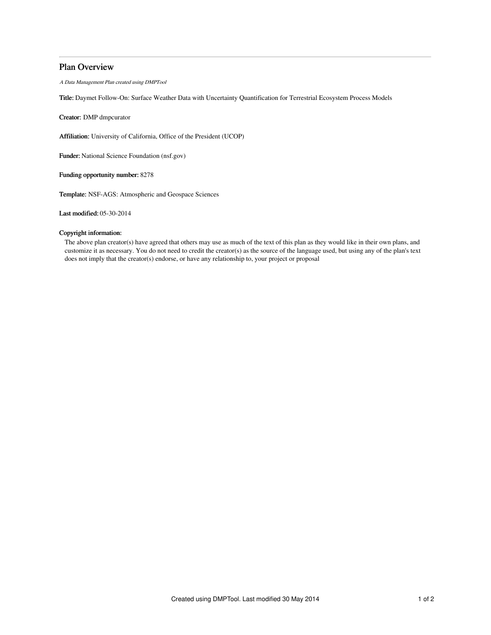# Plan Overview

A Data Management Plan created using DMPTool

Title: Daymet Follow-On: Surface Weather Data with Uncertainty Quantification for Terrestrial Ecosystem Process Models

Creator: DMP dmpcurator

Affiliation: University of California, Office of the President (UCOP)

Funder: National Science Foundation (nsf.gov)

Funding opportunity number: 8278

Template: NSF-AGS: Atmospheric and Geospace Sciences

Last modified: 05-30-2014

## Copyright information:

The above plan creator(s) have agreed that others may use as much of the text of this plan as they would like in their own plans, and customize it as necessary. You do not need to credit the creator(s) as the source of the language used, but using any of the plan's text does not imply that the creator(s) endorse, or have any relationship to, your project or proposal